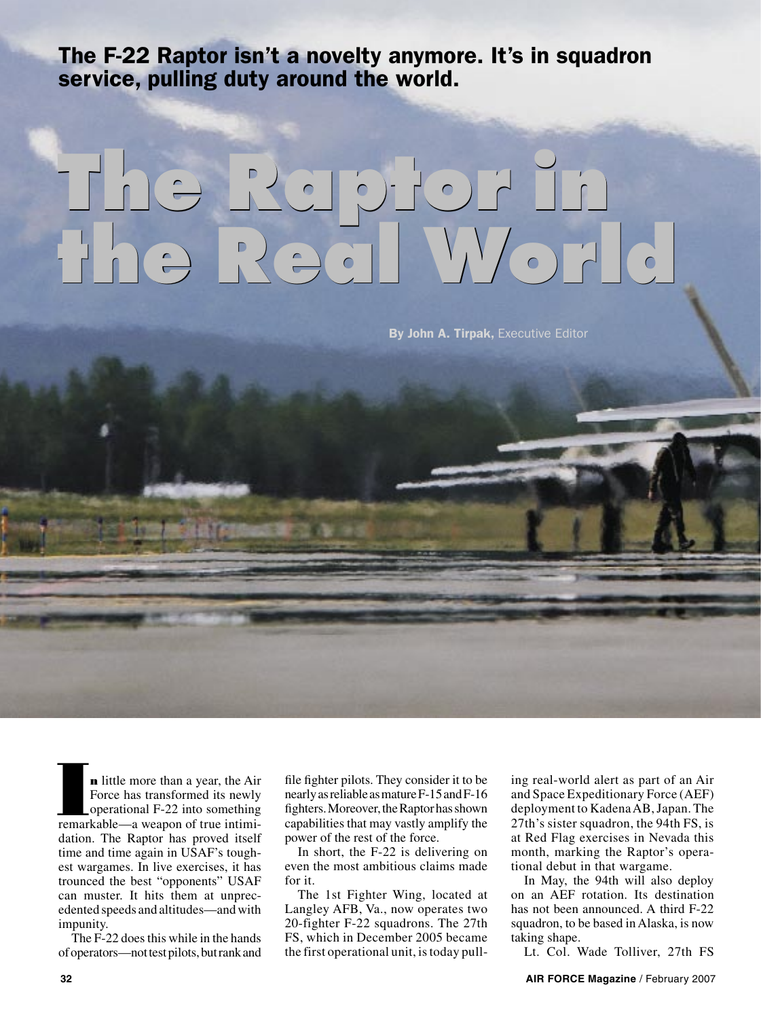The F-22 Raptor isn't a novelty anymore. It's in squadron service, pulling duty around the world.

# **The Raptor in the Real World The Raptor in the Real World**

By John A. Tirpak, Executive Editor

**n** little more than a year, the Air Force has transformed its newly operational F-22 into something **n** little more than a year, the Air<br>Force has transformed its newly<br>operational F-22 into something<br>remarkable—a weapon of true intimidation. The Raptor has proved itself time and time again in USAF's toughest wargames. In live exercises, it has trounced the best "opponents" USAF can muster. It hits them at unprecedented speeds and altitudes—and with impunity.

The F-22 does this while in the hands of operators—not test pilots, but rank and

file fighter pilots. They consider it to be nearly as reliable as mature F-15 and F-16 fighters. Moreover, the Raptor has shown capabilities that may vastly amplify the power of the rest of the force.

In short, the F-22 is delivering on even the most ambitious claims made for it.

The 1st Fighter Wing, located at Langley AFB, Va., now operates two 20-fighter F-22 squadrons. The 27th FS, which in December 2005 became the first operational unit, is today pulling real-world alert as part of an Air and Space Expeditionary Force (AEF) deployment to Kadena AB, Japan. The 27th's sister squadron, the 94th FS, is at Red Flag exercises in Nevada this month, marking the Raptor's operational debut in that wargame.

In May, the 94th will also deploy on an AEF rotation. Its destination has not been announced. A third F-22 squadron, to be based in Alaska, is now taking shape.

Lt. Col. Wade Tolliver, 27th FS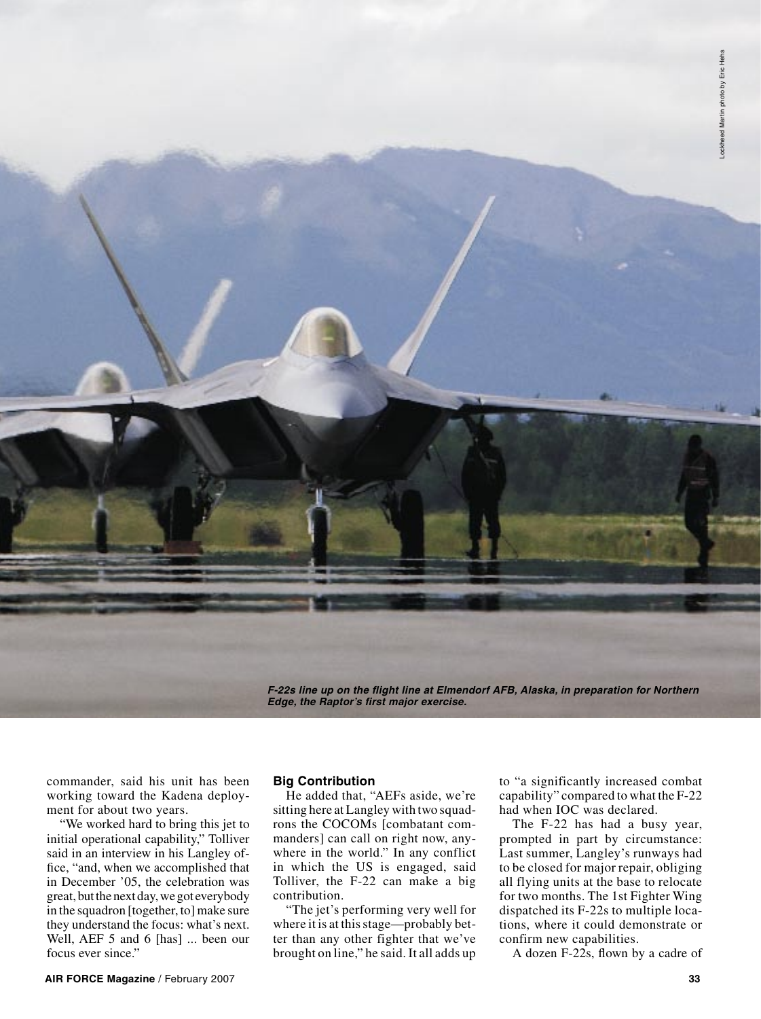**F-22s line up on the flight line at Elmendorf AFB, Alaska, in preparation for Northern Edge, the Raptor's first major exercise.** 

commander, said his unit has been working toward the Kadena deployment for about two years.

"We worked hard to bring this jet to initial operational capability," Tolliver said in an interview in his Langley office, "and, when we accomplished that in December '05, the celebration was great, but the next day, we got everybody in the squadron [together, to] make sure they understand the focus: what's next. Well, AEF 5 and 6 [has] ... been our focus ever since."

# **Big Contribution**

He added that, "AEFs aside, we're sitting here at Langley with two squadrons the COCOMs [combatant commanders] can call on right now, anywhere in the world." In any conflict in which the US is engaged, said Tolliver, the F-22 can make a big contribution.

"The jet's performing very well for where it is at this stage—probably better than any other fighter that we've brought on line," he said. It all adds up

to "a significantly increased combat capability" compared to what the F-22 had when IOC was declared.

The F-22 has had a busy year, prompted in part by circumstance: Last summer, Langley's runways had to be closed for major repair, obliging all flying units at the base to relocate for two months. The 1st Fighter Wing dispatched its F-22s to multiple locations, where it could demonstrate or confirm new capabilities.

A dozen F-22s, flown by a cadre of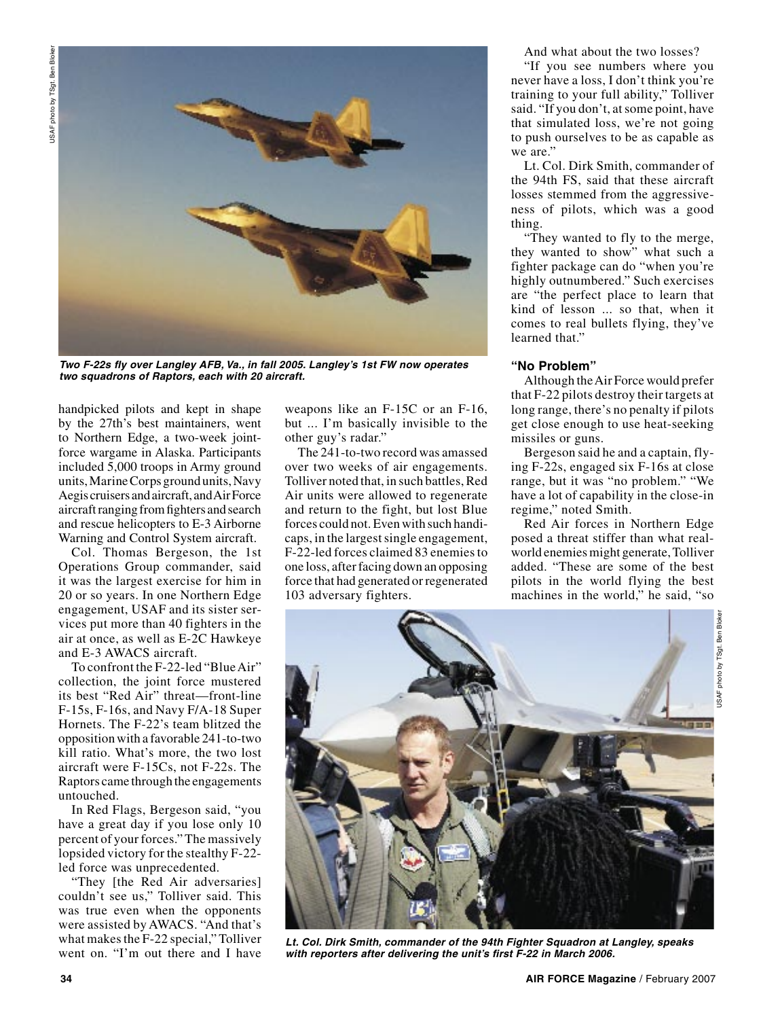

**Two F-22s fly over Langley AFB, Va., in fall 2005. Langley's 1st FW now operates two squadrons of Raptors, each with 20 aircraft.**

handpicked pilots and kept in shape by the 27th's best maintainers, went to Northern Edge, a two-week jointforce wargame in Alaska. Participants included 5,000 troops in Army ground units, Marine Corps ground units, Navy Aegis cruisers and aircraft, and Air Force aircraft ranging from fighters and search and rescue helicopters to E-3 Airborne Warning and Control System aircraft.

Col. Thomas Bergeson, the 1st Operations Group commander, said it was the largest exercise for him in 20 or so years. In one Northern Edge engagement, USAF and its sister services put more than 40 fighters in the air at once, as well as E-2C Hawkeye and E-3 AWACS aircraft.

To confront the F-22-led "Blue Air" collection, the joint force mustered its best "Red Air" threat—front-line F-15s, F-16s, and Navy F/A-18 Super Hornets. The F-22's team blitzed the opposition with a favorable 241-to-two kill ratio. What's more, the two lost aircraft were F-15Cs, not F-22s. The Raptors came through the engagements untouched.

In Red Flags, Bergeson said, "you have a great day if you lose only 10 percent of your forces." The massively lopsided victory for the stealthy F-22 led force was unprecedented.

"They [the Red Air adversaries] couldn't see us," Tolliver said. This was true even when the opponents were assisted by AWACS. "And that's what makes the F-22 special," Tolliver went on. "I'm out there and I have

weapons like an F-15C or an F-16, but ... I'm basically invisible to the other guy's radar."

The 241-to-two record was amassed over two weeks of air engagements. Tolliver noted that, in such battles, Red Air units were allowed to regenerate and return to the fight, but lost Blue forces could not. Even with such handicaps, in the largest single engagement, F-22-led forces claimed 83 enemies to one loss, after facing down an opposing force that had generated or regenerated 103 adversary fighters.

And what about the two losses?

"If you see numbers where you never have a loss, I don't think you're training to your full ability," Tolliver said. "If you don't, at some point, have that simulated loss, we're not going to push ourselves to be as capable as we are."

Lt. Col. Dirk Smith, commander of the 94th FS, said that these aircraft losses stemmed from the aggressiveness of pilots, which was a good thing.

"They wanted to fly to the merge, they wanted to show" what such a fighter package can do "when you're highly outnumbered." Such exercises are "the perfect place to learn that kind of lesson ... so that, when it comes to real bullets flying, they've learned that."

# **"No Problem"**

Although the Air Force would prefer that F-22 pilots destroy their targets at long range, there's no penalty if pilots get close enough to use heat-seeking missiles or guns.

Bergeson said he and a captain, flying F-22s, engaged six F-16s at close range, but it was "no problem." "We have a lot of capability in the close-in regime," noted Smith.

Red Air forces in Northern Edge posed a threat stiffer than what realworld enemies might generate, Tolliver added. "These are some of the best pilots in the world flying the best machines in the world," he said, "so



**Lt. Col. Dirk Smith, commander of the 94th Fighter Squadron at Langley, speaks with reporters after delivering the unit's first F-22 in March 2006.**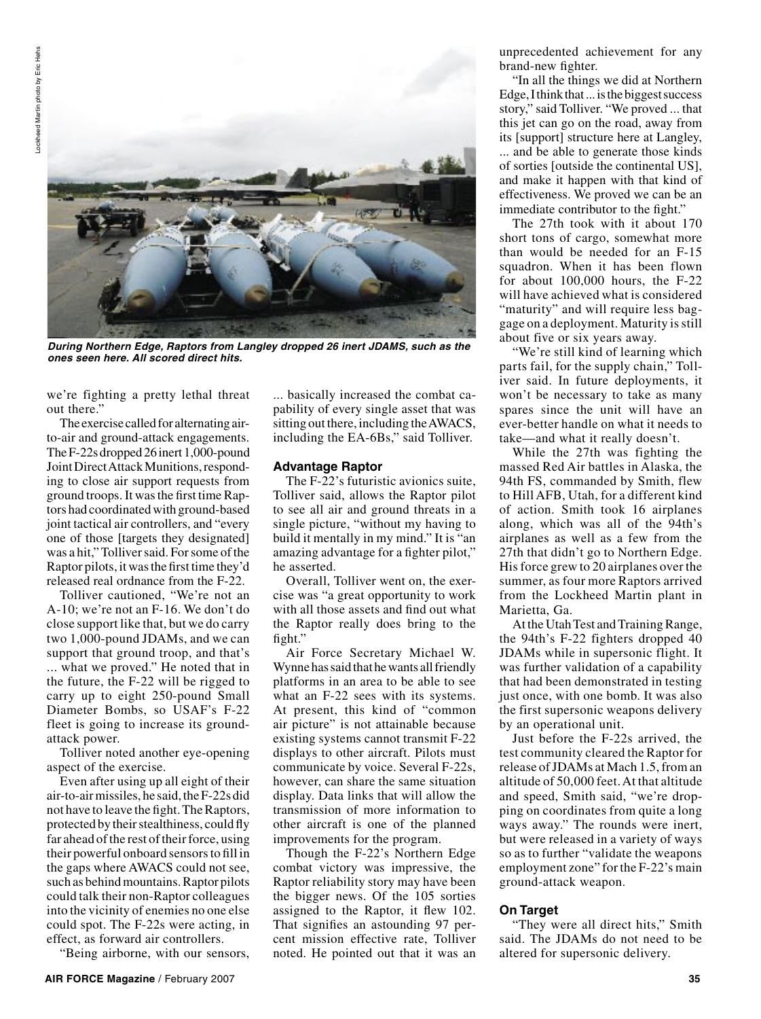

**During Northern Edge, Raptors from Langley dropped 26 inert JDAMS, such as the ones seen here. All scored direct hits.** 

we're fighting a pretty lethal threat out there."

The exercise called for alternating airto-air and ground-attack engagements. The F-22s dropped 26 inert 1,000-pound Joint Direct Attack Munitions, responding to close air support requests from ground troops. It was the first time Raptors had coordinated with ground-based joint tactical air controllers, and "every one of those [targets they designated] was a hit," Tolliver said. For some of the Raptor pilots, it was the first time they'd released real ordnance from the F-22.

Tolliver cautioned, "We're not an A-10; we're not an F-16. We don't do close support like that, but we do carry two 1,000-pound JDAMs, and we can support that ground troop, and that's ... what we proved." He noted that in the future, the F-22 will be rigged to carry up to eight 250-pound Small Diameter Bombs, so USAF's F-22 fleet is going to increase its groundattack power.

Tolliver noted another eye-opening aspect of the exercise.

Even after using up all eight of their air-to-air missiles, he said, the F-22s did not have to leave the fight. The Raptors, protected by their stealthiness, could fly far ahead of the rest of their force, using their powerful onboard sensors to fill in the gaps where AWACS could not see, such as behind mountains. Raptor pilots could talk their non-Raptor colleagues into the vicinity of enemies no one else could spot. The F-22s were acting, in effect, as forward air controllers.

"Being airborne, with our sensors,

... basically increased the combat capability of every single asset that was sitting out there, including the AWACS, including the EA-6Bs," said Tolliver.

### **Advantage Raptor**

The F-22's futuristic avionics suite, Tolliver said, allows the Raptor pilot to see all air and ground threats in a single picture, "without my having to build it mentally in my mind." It is "an amazing advantage for a fighter pilot," he asserted.

Overall, Tolliver went on, the exercise was "a great opportunity to work with all those assets and find out what the Raptor really does bring to the fight."

Air Force Secretary Michael W. Wynne has said that he wants all friendly platforms in an area to be able to see what an F-22 sees with its systems. At present, this kind of "common air picture" is not attainable because existing systems cannot transmit F-22 displays to other aircraft. Pilots must communicate by voice. Several F-22s, however, can share the same situation display. Data links that will allow the transmission of more information to other aircraft is one of the planned improvements for the program.

Though the F-22's Northern Edge combat victory was impressive, the Raptor reliability story may have been the bigger news. Of the 105 sorties assigned to the Raptor, it flew 102. That signifies an astounding 97 percent mission effective rate, Tolliver noted. He pointed out that it was an unprecedented achievement for any brand-new fighter.

"In all the things we did at Northern Edge, I think that ... is the biggest success story," said Tolliver. "We proved ... that this jet can go on the road, away from its [support] structure here at Langley, ... and be able to generate those kinds of sorties [outside the continental US], and make it happen with that kind of effectiveness. We proved we can be an immediate contributor to the fight."

The 27th took with it about 170 short tons of cargo, somewhat more than would be needed for an F-15 squadron. When it has been flown for about 100,000 hours, the F-22 will have achieved what is considered "maturity" and will require less baggage on a deployment. Maturity is still about five or six years away.

"We're still kind of learning which parts fail, for the supply chain," Tolliver said. In future deployments, it won't be necessary to take as many spares since the unit will have an ever-better handle on what it needs to take—and what it really doesn't.

While the 27th was fighting the massed Red Air battles in Alaska, the 94th FS, commanded by Smith, flew to Hill AFB, Utah, for a different kind of action. Smith took 16 airplanes along, which was all of the 94th's airplanes as well as a few from the 27th that didn't go to Northern Edge. His force grew to 20 airplanes over the summer, as four more Raptors arrived from the Lockheed Martin plant in Marietta, Ga.

At the Utah Test and Training Range, the 94th's F-22 fighters dropped 40 JDAMs while in supersonic flight. It was further validation of a capability that had been demonstrated in testing just once, with one bomb. It was also the first supersonic weapons delivery by an operational unit.

Just before the F-22s arrived, the test community cleared the Raptor for release of JDAMs at Mach 1.5, from an altitude of 50,000 feet. At that altitude and speed, Smith said, "we're dropping on coordinates from quite a long ways away." The rounds were inert, but were released in a variety of ways so as to further "validate the weapons employment zone" for the F-22's main ground-attack weapon.

# **On Target**

"They were all direct hits," Smith said. The JDAMs do not need to be altered for supersonic delivery.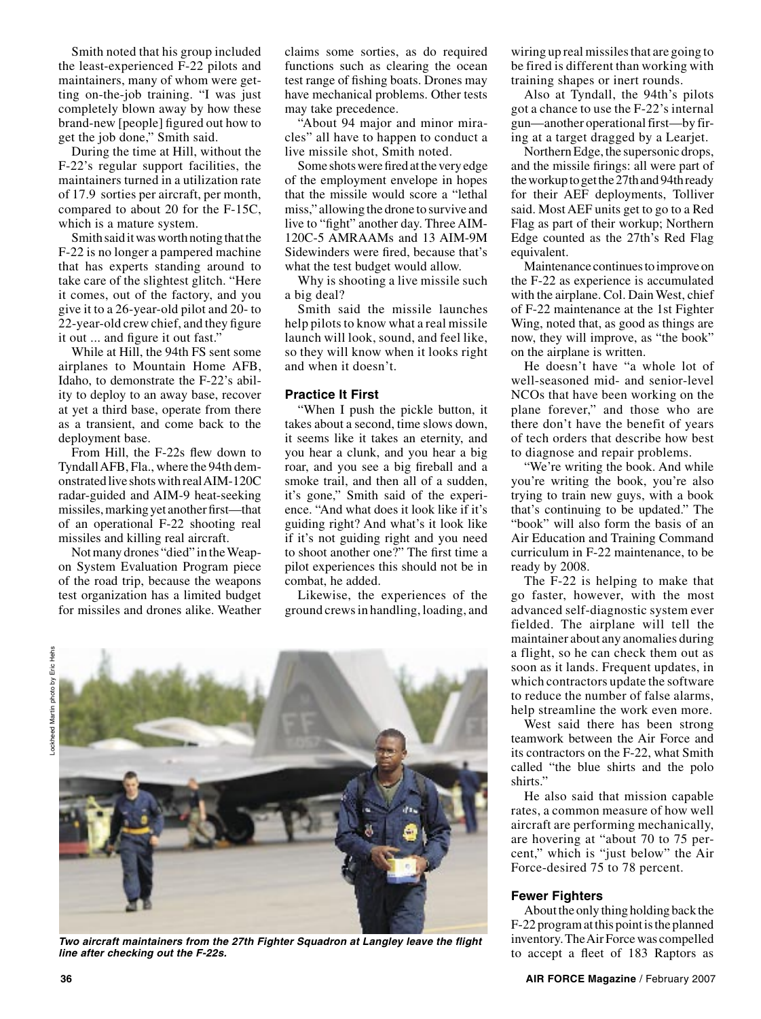Smith noted that his group included the least-experienced F-22 pilots and maintainers, many of whom were getting on-the-job training. "I was just completely blown away by how these brand-new [people] figured out how to get the job done," Smith said.

During the time at Hill, without the F-22's regular support facilities, the maintainers turned in a utilization rate of 17.9 sorties per aircraft, per month, compared to about 20 for the F-15C, which is a mature system.

Smith said it was worth noting that the F-22 is no longer a pampered machine that has experts standing around to take care of the slightest glitch. "Here it comes, out of the factory, and you give it to a 26-year-old pilot and 20- to 22-year-old crew chief, and they figure it out ... and figure it out fast."

While at Hill, the 94th FS sent some airplanes to Mountain Home AFB, Idaho, to demonstrate the F-22's ability to deploy to an away base, recover at yet a third base, operate from there as a transient, and come back to the deployment base.

From Hill, the F-22s flew down to Tyndall AFB, Fla., where the 94th demonstrated live shots with real AIM-120C radar-guided and AIM-9 heat-seeking missiles, marking yet another first—that of an operational F-22 shooting real missiles and killing real aircraft.

Not many drones "died" in the Weapon System Evaluation Program piece of the road trip, because the weapons test organization has a limited budget for missiles and drones alike. Weather

claims some sorties, as do required functions such as clearing the ocean test range of fishing boats. Drones may have mechanical problems. Other tests may take precedence.

"About 94 major and minor miracles" all have to happen to conduct a live missile shot, Smith noted.

Some shots were fired at the very edge of the employment envelope in hopes that the missile would score a "lethal miss," allowing the drone to survive and live to "fight" another day. Three AIM-120C-5 AMRAAMs and 13 AIM-9M Sidewinders were fired, because that's what the test budget would allow.

Why is shooting a live missile such a big deal?

Smith said the missile launches help pilots to know what a real missile launch will look, sound, and feel like, so they will know when it looks right and when it doesn't.

# **Practice It First**

"When I push the pickle button, it takes about a second, time slows down, it seems like it takes an eternity, and you hear a clunk, and you hear a big roar, and you see a big fireball and a smoke trail, and then all of a sudden, it's gone," Smith said of the experience. "And what does it look like if it's guiding right? And what's it look like if it's not guiding right and you need to shoot another one?" The first time a pilot experiences this should not be in combat, he added.

Likewise, the experiences of the ground crews in handling, loading, and





**Two aircraft maintainers from the 27th Fighter Squadron at Langley leave the flight line after checking out the F-22s.**

wiring up real missiles that are going to be fired is different than working with training shapes or inert rounds.

Also at Tyndall, the 94th's pilots got a chance to use the F-22's internal gun—another operational first—by firing at a target dragged by a Learjet.

Northern Edge, the supersonic drops, and the missile firings: all were part of the workup to get the 27th and 94th ready for their AEF deployments, Tolliver said. Most AEF units get to go to a Red Flag as part of their workup; Northern Edge counted as the 27th's Red Flag equivalent.

Maintenance continues to improve on the F-22 as experience is accumulated with the airplane. Col. Dain West, chief of F-22 maintenance at the 1st Fighter Wing, noted that, as good as things are now, they will improve, as "the book" on the airplane is written.

He doesn't have "a whole lot of well-seasoned mid- and senior-level NCOs that have been working on the plane forever," and those who are there don't have the benefit of years of tech orders that describe how best to diagnose and repair problems.

"We're writing the book. And while you're writing the book, you're also trying to train new guys, with a book that's continuing to be updated." The "book" will also form the basis of an Air Education and Training Command curriculum in F-22 maintenance, to be ready by 2008.

The F-22 is helping to make that go faster, however, with the most advanced self-diagnostic system ever fielded. The airplane will tell the maintainer about any anomalies during a flight, so he can check them out as soon as it lands. Frequent updates, in which contractors update the software to reduce the number of false alarms, help streamline the work even more.

West said there has been strong teamwork between the Air Force and its contractors on the F-22, what Smith called "the blue shirts and the polo shirts.'

He also said that mission capable rates, a common measure of how well aircraft are performing mechanically, are hovering at "about 70 to 75 percent," which is "just below" the Air Force-desired 75 to 78 percent.

#### **Fewer Fighters**

About the only thing holding back the F-22 program at this point is the planned inventory. The Air Force was compelled to accept a fleet of 183 Raptors as